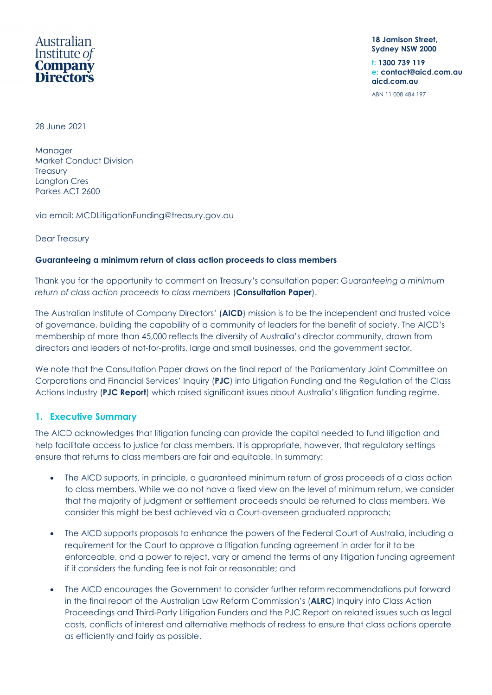# Australian Institute of **Company Directors**

**18 Jamison Street, Sydney NSW 2000**

**t: 1300 739 119 e: contact@aicd.com.au aicd.com.au**

ABN 11 008 484 197

28 June 2021

**Manager** Market Conduct Division **Treasury** Langton Cres Parkes ACT 2600

via email: [MCDLitigationFunding@treasury.gov.au](mailto:MCDLitigationFunding@treasury.gov.au)

Dear Treasury

## **Guaranteeing a minimum return of class action proceeds to class members**

Thank you for the opportunity to comment on Treasury's consultation paper: *Guaranteeing a minimum return of class action proceeds to class members* (**Consultation Paper**).

The Australian Institute of Company Directors' (**AICD**) mission is to be the independent and trusted voice of governance, building the capability of a community of leaders for the benefit of society. The AICD's membership of more than 45,000 reflects the diversity of Australia's director community, drawn from directors and leaders of not-for-profits, large and small businesses, and the government sector.

We note that the Consultation Paper draws on the final report of the Parliamentary Joint Committee on Corporations and Financial Services' Inquiry (**PJC**) into Litigation Funding and the Regulation of the Class Actions Industry (**PJC Report**) which raised significant issues about Australia's litigation funding regime.

## **1. Executive Summary**

The AICD acknowledges that litigation funding can provide the capital needed to fund litigation and help facilitate access to justice for class members. It is appropriate, however, that regulatory settings ensure that returns to class members are fair and equitable. In summary:

- The AICD supports, in principle, a guaranteed minimum return of gross proceeds of a class action to class members. While we do not have a fixed view on the level of minimum return, we consider that the majority of judgment or settlement proceeds should be returned to class members. We consider this might be best achieved via a Court-overseen graduated approach;
- The AICD supports proposals to enhance the powers of the Federal Court of Australia, including a requirement for the Court to approve a litigation funding agreement in order for it to be enforceable, and a power to reject, vary or amend the terms of any litigation funding agreement if it considers the funding fee is not fair or reasonable; and
- The AICD encourages the Government to consider further reform recommendations put forward in the final report of the Australian Law Reform Commission's (**ALRC**) Inquiry into Class Action Proceedings and Third-Party Litigation Funders and the PJC Report on related issues such as legal costs, conflicts of interest and alternative methods of redress to ensure that class actions operate as efficiently and fairly as possible.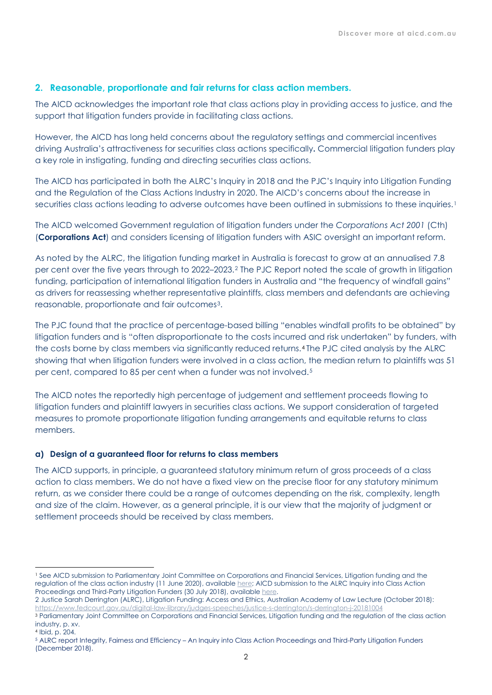## **2. Reasonable, proportionate and fair returns for class action members.**

The AICD acknowledges the important role that class actions play in providing access to justice, and the support that litigation funders provide in facilitating class actions.

However, the AICD has long held concerns about the regulatory settings and commercial incentives driving Australia's attractiveness for securities class actions specifically**.** Commercial litigation funders play a key role in instigating, funding and directing securities class actions.

The AICD has participated in both the ALRC's Inquiry in 2018 and the PJC's Inquiry into Litigation Funding and the Regulation of the Class Actions Industry in 2020. The AICD's concerns about the increase in securities class actions leading to adverse outcomes have been outlined in submissions to these inquiries.<sup>[1](#page-1-0)</sup>

The AICD welcomed Government regulation of litigation funders under the *Corporations Act 2001* (Cth) (**Corporations Act**) and considers licensing of litigation funders with ASIC oversight an important reform.

As noted by the ALRC, the litigation funding market in Australia is forecast to grow at an annualised 7.8 per cent over the five years through to 2022–2023.[2](#page-1-1) The PJC Report noted the scale of growth in litigation funding, participation of international litigation funders in Australia and "the frequency of windfall gains" as drivers for reassessing whether representative plaintiffs, class members and defendants are achieving reasonable, proportionate and fair outcomes[3.](#page-1-2)

The PJC found that the practice of percentage-based billing "enables windfall profits to be obtained" by litigation funders and is "often disproportionate to the costs incurred and risk undertaken" by funders, with the costs borne by class members via significantly reduced returns.[4](#page-1-3) The PJC cited analysis by the ALRC showing that when litigation funders were involved in a class action, the median return to plaintiffs was 51 per cent, compared to 85 per cent when a funder was not involved.[5](#page-1-4)

The AICD notes the reportedly high percentage of judgement and settlement proceeds flowing to litigation funders and plaintiff lawyers in securities class actions. We support consideration of targeted measures to promote proportionate litigation funding arrangements and equitable returns to class members.

## **a) Design of a guaranteed floor for returns to class members**

The AICD supports, in principle, a guaranteed statutory minimum return of gross proceeds of a class action to class members. We do not have a fixed view on the precise floor for any statutory minimum return, as we consider there could be a range of outcomes depending on the risk, complexity, length and size of the claim. However, as a general principle, it is our view that the majority of judgment or settlement proceeds should be received by class members.

<span id="page-1-0"></span><sup>1</sup> See AICD submission to Parliamentary Joint Committee on Corporations and Financial Services, Litigation funding and the regulation of the class action industry (11 June 2020), availabl[e here;](https://www.aph.gov.au/Parliamentary_Business/Committees/Joint/Corporations_and_Financial_Services/Litigationfunding/Submissions) AICD submission to the ALRC Inquiry into Class Action Proceedings and Third-Party Litigation Funders (30 July 2018), available [here.](https://aicd.companydirectors.com.au/-/media/cd2/resources/advocacy/policy/pdf/2018/subm-2018-alrc-inquiry-into-class-actions-30-july-2018-final.ashx)

<span id="page-1-1"></span><sup>2</sup> Justice Sarah Derrington (ALRC), Litigation Funding: Access and Ethics, Australian Academy of Law Lecture (October 2018): <https://www.fedcourt.gov.au/digital-law-library/judges-speeches/justice-s-derrington/s-derrington-j-20181004>

<span id="page-1-2"></span><sup>3</sup> Parliamentary Joint Committee on Corporations and Financial Services, Litigation funding and the regulation of the class action industry, p. xv.

<span id="page-1-3"></span><sup>4</sup> Ibid, p. 204.

<span id="page-1-4"></span><sup>5</sup> ALRC report Integrity, Fairness and Efficiency – An Inquiry into Class Action Proceedings and Third-Party Litigation Funders (December 2018).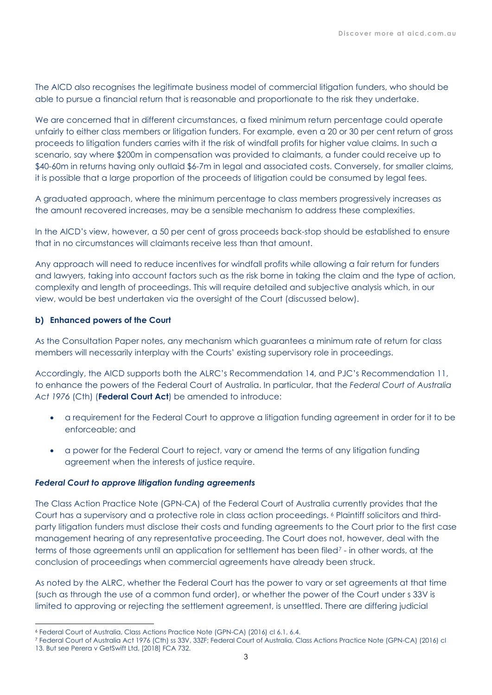The AICD also recognises the legitimate business model of commercial litigation funders, who should be able to pursue a financial return that is reasonable and proportionate to the risk they undertake.

We are concerned that in different circumstances, a fixed minimum return percentage could operate unfairly to either class members or litigation funders. For example, even a 20 or 30 per cent return of gross proceeds to litigation funders carries with it the risk of windfall profits for higher value claims. In such a scenario, say where \$200m in compensation was provided to claimants, a funder could receive up to \$40-60m in returns having only outlaid \$6-7m in legal and associated costs. Conversely, for smaller claims, it is possible that a large proportion of the proceeds of litigation could be consumed by legal fees.

A graduated approach, where the minimum percentage to class members progressively increases as the amount recovered increases, may be a sensible mechanism to address these complexities.

In the AICD's view, however, a 50 per cent of gross proceeds back-stop should be established to ensure that in no circumstances will claimants receive less than that amount.

Any approach will need to reduce incentives for windfall profits while allowing a fair return for funders and lawyers, taking into account factors such as the risk borne in taking the claim and the type of action, complexity and length of proceedings. This will require detailed and subjective analysis which, in our view, would be best undertaken via the oversight of the Court (discussed below).

## **b) Enhanced powers of the Court**

As the Consultation Paper notes, any mechanism which guarantees a minimum rate of return for class members will necessarily interplay with the Courts' existing supervisory role in proceedings.

Accordingly, the AICD supports both the ALRC's Recommendation 14, and PJC's Recommendation 11, to enhance the powers of the Federal Court of Australia. In particular, that the *Federal Court of Australia Act 1976* (Cth) (**Federal Court Act**) be amended to introduce:

- a requirement for the Federal Court to approve a litigation funding agreement in order for it to be enforceable; and
- a power for the Federal Court to reject, vary or amend the terms of any litigation funding agreement when the interests of justice require.

#### *Federal Court to approve litigation funding agreements*

The Class Action Practice Note (GPN-CA) of the Federal Court of Australia currently provides that the Court has a supervisory and a protective role in class action proceedings. [6](#page-2-0) Plaintiff solicitors and thirdparty litigation funders must disclose their costs and funding agreements to the Court prior to the first case management hearing of any representative proceeding. The Court does not, however, deal with the terms of those agreements until an application for settlement has been filed[7](#page-2-1) - in other words, at the conclusion of proceedings when commercial agreements have already been struck.

As noted by the ALRC, whether the Federal Court has the power to vary or set agreements at that time (such as through the use of a common fund order), or whether the power of the Court under s 33V is limited to approving or rejecting the settlement agreement, is unsettled. There are differing judicial

<span id="page-2-0"></span><sup>6</sup> Federal Court of Australia, Class Actions Practice Note (GPN-CA) (2016) cl 6.1, 6.4.

<span id="page-2-1"></span><sup>7</sup> Federal Court of Australia Act 1976 (Cth) ss 33V, 33ZF; Federal Court of Australia, Class Actions Practice Note (GPN-CA) (2016) cl 13. But see Perera v GetSwift Ltd, [2018] FCA 732.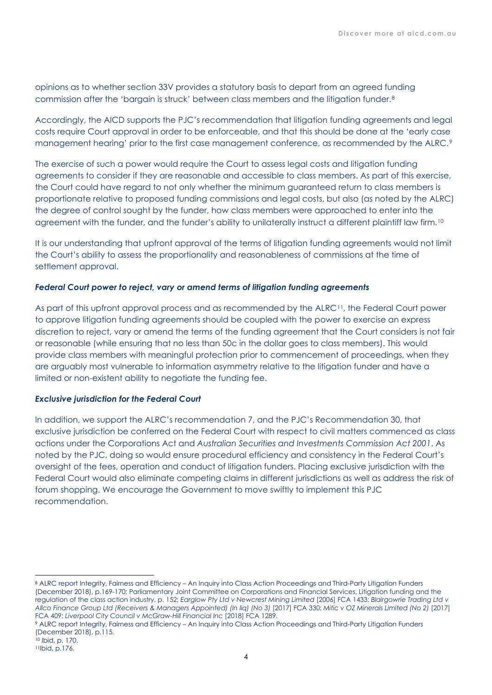opinions as to whether section 33V provides a statutory basis to depart from an agreed funding commission after the 'bargain is struck' between class members and the litigation funder.[8](#page-3-0)

Accordingly, the AICD supports the PJC's recommendation that litigation funding agreements and legal costs require Court approval in order to be enforceable, and that this should be done at the 'early case management hearing' prior to the first case management conference, as recommended by the ALRC.<sup>[9](#page-3-1)</sup>

The exercise of such a power would require the Court to assess legal costs and litigation funding agreements to consider if they are reasonable and accessible to class members. As part of this exercise, the Court could have regard to not only whether the minimum guaranteed return to class members is proportionate relative to proposed funding commissions and legal costs, but also (as noted by the ALRC) the degree of control sought by the funder, how class members were approached to enter into the agreement with the funder, and the funder's ability to unilaterally instruct a different plaintiff law firm.[10](#page-3-2)

It is our understanding that upfront approval of the terms of litigation funding agreements would not limit the Court's ability to assess the proportionality and reasonableness of commissions at the time of settlement approval.

## *Federal Court power to reject, vary or amend terms of litigation funding agreements*

As part of this upfront approval process and as recommended by the ALRC<sup>[11](#page-3-3)</sup>, the Federal Court power to approve litigation funding agreements should be coupled with the power to exercise an express discretion to reject, vary or amend the terms of the funding agreement that the Court considers is not fair or reasonable (while ensuring that no less than 50c in the dollar goes to class members). This would provide class members with meaningful protection prior to commencement of proceedings, when they are arguably most vulnerable to information asymmetry relative to the litigation funder and have a limited or non-existent ability to negotiate the funding fee.

#### *Exclusive jurisdiction for the Federal Court*

In addition, we support the ALRC's recommendation 7, and the PJC's Recommendation 30, that exclusive jurisdiction be conferred on the Federal Court with respect to civil matters commenced as class actions under the Corporations Act and *Australian Securities and Investments Commission Act 2001*. As noted by the PJC, doing so would ensure procedural efficiency and consistency in the Federal Court's oversight of the fees, operation and conduct of litigation funders. Placing exclusive jurisdiction with the Federal Court would also eliminate competing claims in different jurisdictions as well as address the risk of forum shopping. We encourage the Government to move swiftly to implement this PJC recommendation.

<span id="page-3-0"></span><sup>8</sup> ALRC report Integrity, Fairness and Efficiency – An Inquiry into Class Action Proceedings and Third-Party Litigation Funders (December 2018), p.169-170; Parliamentary Joint Committee on Corporations and Financial Services, Litigation funding and the regulation of the class action industry, p. 152; *Earglow Pty Ltd v Newcrest Mining Limited* [2006] FCA 1433; *Blairgowrie Trading Ltd v Allco Finance Group Ltd (Receivers & Managers Appointed) (In liq) (No 3)* [2017] FCA 330; *Mitic v OZ Minerals Limited (No 2)* [2017] FCA 409; *Liverpool City Council v McGraw-Hill Financial Inc* [2018] FCA 1289.

<span id="page-3-1"></span><sup>9</sup> ALRC report Integrity, Fairness and Efficiency – An Inquiry into Class Action Proceedings and Third-Party Litigation Funders (December 2018), p.115.

<span id="page-3-3"></span><span id="page-3-2"></span><sup>10</sup> Ibid, p. 170.